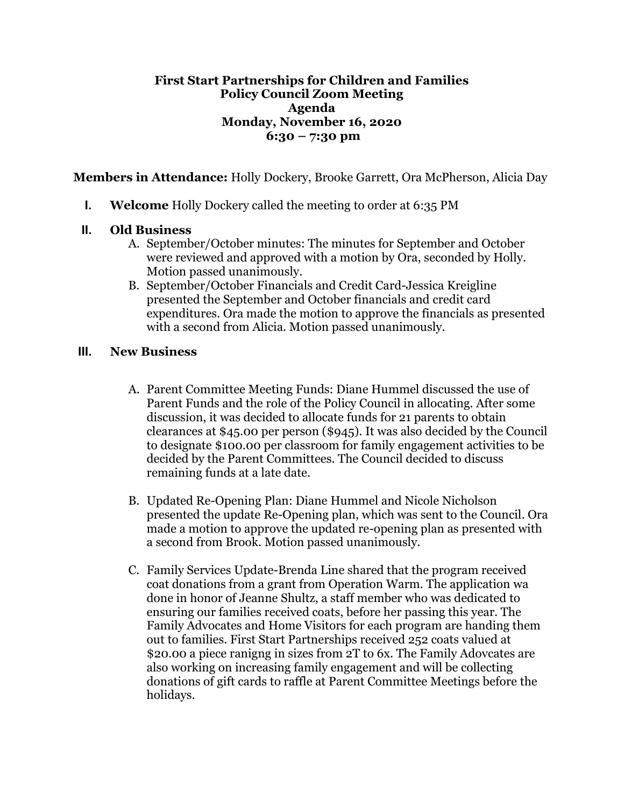## **First Start Partnerships for Children and Families Policy Council Zoom Meeting Agenda Monday, November 16, 2020 6:30 – 7:30 pm**

**Members in Attendance:** Holly Dockery, Brooke Garrett, Ora McPherson, Alicia Day

**I. Welcome** Holly Dockery called the meeting to order at 6:35 PM

## **II. Old Business**

- A. September/October minutes: The minutes for September and October were reviewed and approved with a motion by Ora, seconded by Holly. Motion passed unanimously.
- B. September/October Financials and Credit Card-Jessica Kreigline presented the September and October financials and credit card expenditures. Ora made the motion to approve the financials as presented with a second from Alicia. Motion passed unanimously.

## **III. New Business**

- A. Parent Committee Meeting Funds: Diane Hummel discussed the use of Parent Funds and the role of the Policy Council in allocating. After some discussion, it was decided to allocate funds for 21 parents to obtain clearances at \$45.00 per person (\$945). It was also decided by the Council to designate \$100.00 per classroom for family engagement activities to be decided by the Parent Committees. The Council decided to discuss remaining funds at a late date.
- B. Updated Re-Opening Plan: Diane Hummel and Nicole Nicholson presented the update Re-Opening plan, which was sent to the Council. Ora made a motion to approve the updated re-opening plan as presented with a second from Brook. Motion passed unanimously.
- C. Family Services Update-Brenda Line shared that the program received coat donations from a grant from Operation Warm. The application wa done in honor of Jeanne Shultz, a staff member who was dedicated to ensuring our families received coats, before her passing this year. The Family Advocates and Home Visitors for each program are handing them out to families. First Start Partnerships received 252 coats valued at \$20.00 a piece ranigng in sizes from 2T to 6x. The Family Adovcates are also working on increasing family engagement and will be collecting donations of gift cards to raffle at Parent Committee Meetings before the holidays.